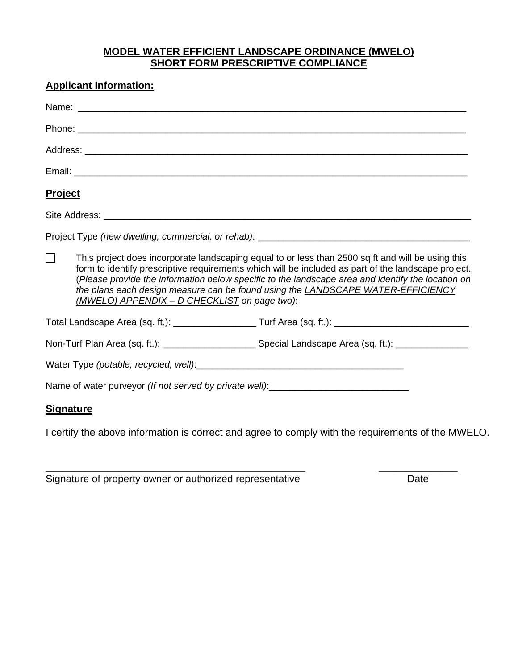## **MODEL WATER EFFICIENT LANDSCAPE ORDINANCE (MWELO) SHORT FORM PRESCRIPTIVE COMPLIANCE**

|                  | <b>Applicant Information:</b>                                                                                                                                                                                                                                                                                                                                                                                                                    |                                                                                                                                                                                                                                |  |
|------------------|--------------------------------------------------------------------------------------------------------------------------------------------------------------------------------------------------------------------------------------------------------------------------------------------------------------------------------------------------------------------------------------------------------------------------------------------------|--------------------------------------------------------------------------------------------------------------------------------------------------------------------------------------------------------------------------------|--|
|                  |                                                                                                                                                                                                                                                                                                                                                                                                                                                  |                                                                                                                                                                                                                                |  |
|                  |                                                                                                                                                                                                                                                                                                                                                                                                                                                  |                                                                                                                                                                                                                                |  |
|                  |                                                                                                                                                                                                                                                                                                                                                                                                                                                  |                                                                                                                                                                                                                                |  |
|                  |                                                                                                                                                                                                                                                                                                                                                                                                                                                  |                                                                                                                                                                                                                                |  |
| <b>Project</b>   |                                                                                                                                                                                                                                                                                                                                                                                                                                                  |                                                                                                                                                                                                                                |  |
|                  |                                                                                                                                                                                                                                                                                                                                                                                                                                                  |                                                                                                                                                                                                                                |  |
|                  |                                                                                                                                                                                                                                                                                                                                                                                                                                                  |                                                                                                                                                                                                                                |  |
| $\Box$           | This project does incorporate landscaping equal to or less than 2500 sq ft and will be using this<br>form to identify prescriptive requirements which will be included as part of the landscape project.<br>(Please provide the information below specific to the landscape area and identify the location on<br>the plans each design measure can be found using the LANDSCAPE WATER-EFFICIENCY<br>(MWELO) APPENDIX - D CHECKLIST on page two): |                                                                                                                                                                                                                                |  |
|                  |                                                                                                                                                                                                                                                                                                                                                                                                                                                  |                                                                                                                                                                                                                                |  |
|                  |                                                                                                                                                                                                                                                                                                                                                                                                                                                  |                                                                                                                                                                                                                                |  |
|                  |                                                                                                                                                                                                                                                                                                                                                                                                                                                  | Water Type (potable, recycled, well): National Communication of the control of the control of the control of the control of the control of the control of the control of the control of the control of the control of the cont |  |
|                  |                                                                                                                                                                                                                                                                                                                                                                                                                                                  | Name of water purveyor (If not served by private well): ________________________                                                                                                                                               |  |
| <b>Signature</b> |                                                                                                                                                                                                                                                                                                                                                                                                                                                  |                                                                                                                                                                                                                                |  |

I certify the above information is correct and agree to comply with the requirements of the MWELO.

**\_\_\_\_\_\_\_\_\_\_\_\_\_\_\_\_\_\_\_\_\_\_\_\_\_\_\_\_\_\_\_\_\_\_\_\_\_\_\_\_\_\_\_\_\_\_ \_\_\_\_\_\_\_\_\_\_\_\_\_\_**  Signature of property owner or authorized representative Date